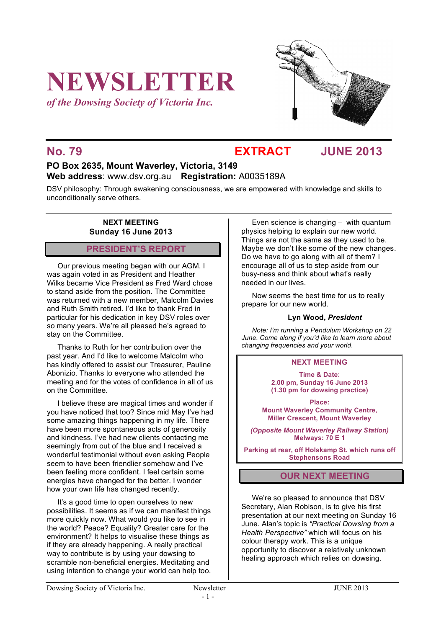# **NEWSLETTER**

*of the Dowsing Society of Victoria Inc.*



**No. 79 EXTRACT JUNE 2013**

# **PO Box 2635, Mount Waverley, Victoria, 3149 Web address**: www.dsv.org.au **Registration:** A0035189A

DSV philosophy: Through awakening consciousness, we are empowered with knowledge and skills to unconditionally serve others.

### **NEXT MEETING Sunday 16 June 2013**

# **PRESIDENT'S REPORT**

Our previous meeting began with our AGM. I was again voted in as President and Heather Wilks became Vice President as Fred Ward chose to stand aside from the position. The Committee was returned with a new member, Malcolm Davies and Ruth Smith retired. I'd like to thank Fred in particular for his dedication in key DSV roles over so many years. We're all pleased he's agreed to stay on the Committee.

Thanks to Ruth for her contribution over the past year. And I'd like to welcome Malcolm who has kindly offered to assist our Treasurer, Pauline Abonizio. Thanks to everyone who attended the meeting and for the votes of confidence in all of us on the Committee.

I believe these are magical times and wonder if you have noticed that too? Since mid May I've had some amazing things happening in my life. There have been more spontaneous acts of generosity and kindness. I've had new clients contacting me seemingly from out of the blue and I received a wonderful testimonial without even asking People seem to have been friendlier somehow and I've been feeling more confident. I feel certain some energies have changed for the better. I wonder how your own life has changed recently.

It's a good time to open ourselves to new possibilities. It seems as if we can manifest things more quickly now. What would you like to see in the world? Peace? Equality? Greater care for the environment? It helps to visualise these things as if they are already happening. A really practical way to contribute is by using your dowsing to scramble non-beneficial energies. Meditating and using intention to change your world can help too.

Even science is changing – with quantum physics helping to explain our new world. Things are not the same as they used to be. Maybe we don't like some of the new changes. Do we have to go along with all of them? I encourage all of us to step aside from our busy-ness and think about what's really needed in our lives.

Now seems the best time for us to really prepare for our new world.

### **Lyn Wood,** *President*

*Note: I'm running a Pendulum Workshop on 22 June. Come along if you'd like to learn more about changing frequencies and your world*.

### **NEXT MEETING**

**Time & Date: 2.00 pm, Sunday 16 June 2013 (1.30 pm for dowsing practice)**

**Place: Mount Waverley Community Centre, Miller Crescent, Mount Waverley**

*(Opposite Mount Waverley Railway Station)* **Melways: 70 E 1**

**Parking at rear, off Holskamp St. which runs off Stephensons Road**

# **OUR NEXT MEETING**

We're so pleased to announce that DSV Secretary, Alan Robison, is to give his first presentation at our next meeting on Sunday 16 June. Alan's topic is *"Practical Dowsing from a Health Perspective"* which will focus on his colour therapy work. This is a unique opportunity to discover a relatively unknown healing approach which relies on dowsing.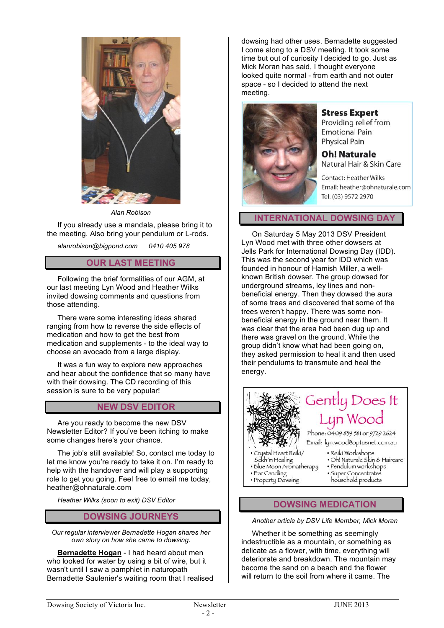

*Alan Robison*

If you already use a mandala, please bring it to the meeting. Also bring your pendulum or L-rods.

*alanrobison@bigpond.com 0410 405 978*

## **OUR LAST MEETING**

Following the brief formalities of our AGM, at our last meeting Lyn Wood and Heather Wilks invited dowsing comments and questions from those attending.

There were some interesting ideas shared ranging from how to reverse the side effects of medication and how to get the best from medication and supplements - to the ideal way to choose an avocado from a large display.

It was a fun way to explore new approaches and hear about the confidence that so many have with their dowsing. The CD recording of this session is sure to be very popular!

# **NEW DSV EDITOR**

Are you ready to become the new DSV Newsletter Editor? If you've been itching to make some changes here's your chance.

The job's still available! So, contact me today to let me know you're ready to take it on. I'm ready to help with the handover and will play a supporting role to get you going. Feel free to email me today, heather@ohnaturale.com

*Heather Wilks (soon to exit) DSV Editor*

#### **DOWSING JOURNEYS**

*Our regular interviewer Bernadette Hogan shares her own story on how she came to dowsing.* 

**Bernadette Hogan** - I had heard about men who looked for water by using a bit of wire, but it wasn't until I saw a pamphlet in naturopath Bernadette Saulenier's waiting room that I realised dowsing had other uses. Bernadette suggested I come along to a DSV meeting. It took some time but out of curiosity I decided to go. Just as Mick Moran has said, I thought everyone looked quite normal - from earth and not outer space - so I decided to attend the next meeting.



### **Stress Expert**

Providing relief from **Emotional Pain Physical Pain** 

**Oh! Naturale** Natural Hair & Skin Care

**Contact: Heather Wilks** Email: heather@ohnaturale.com Tel: (03) 9572 2970

**INTERNATIONAL DOWSING DAY**

On Saturday 5 May 2013 DSV President Lyn Wood met with three other dowsers at Jells Park for International Dowsing Day (IDD). This was the second year for IDD which was founded in honour of Hamish Miller, a wellknown British dowser. The group dowsed for underground streams, ley lines and nonbeneficial energy. Then they dowsed the aura of some trees and discovered that some of the trees weren't happy. There was some nonbeneficial energy in the ground near them. It was clear that the area had been dug up and there was gravel on the ground. While the group didn't know what had been going on, they asked permission to heal it and then used their pendulums to transmute and heal the energy.



### **DOWSING MEDICATION**

#### *Another article by DSV Life Member, Mick Moran*

Whether it be something as seemingly indestructible as a mountain, or something as delicate as a flower, with time, everything will deteriorate and breakdown. The mountain may become the sand on a beach and the flower will return to the soil from where it came. The